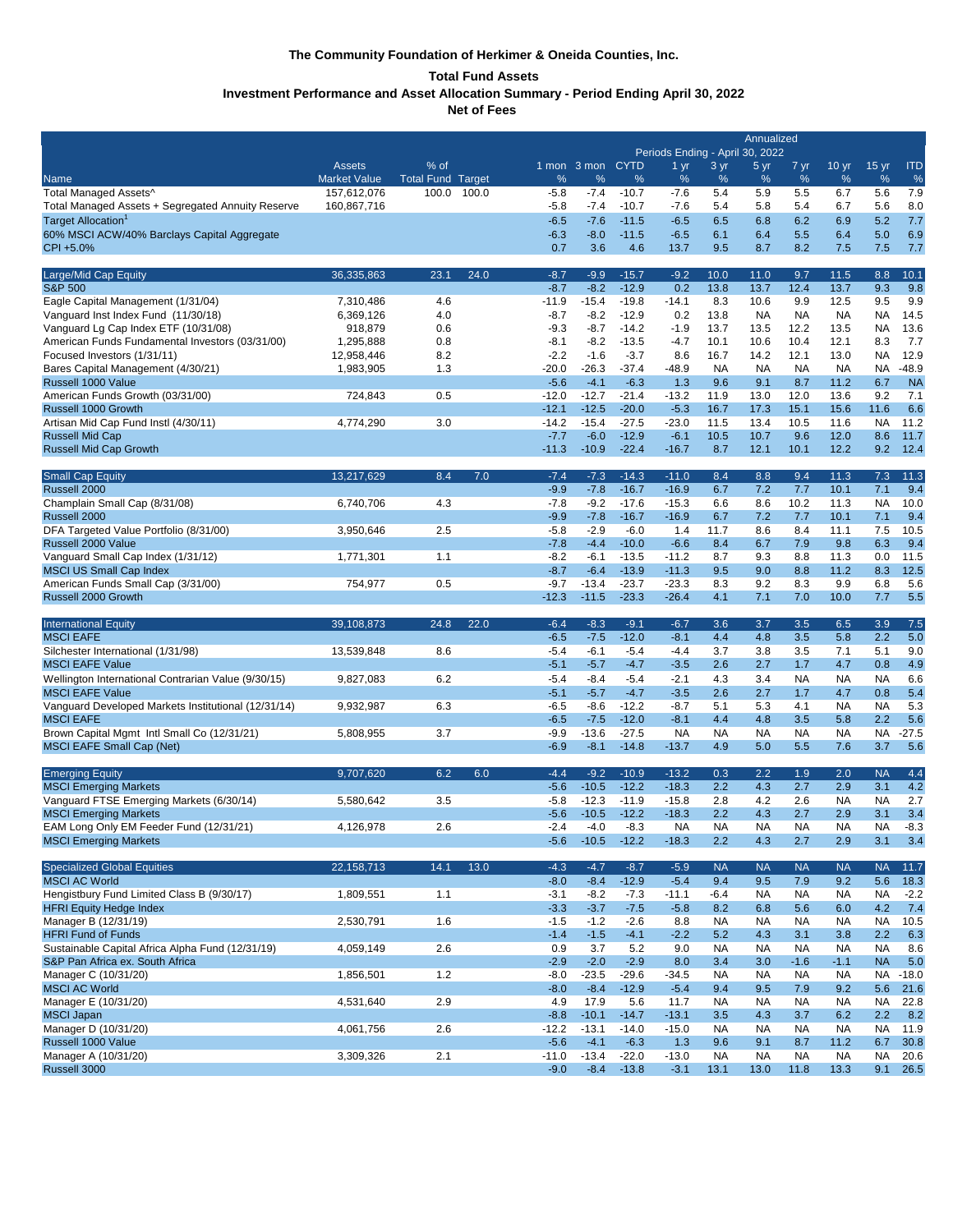# **The Community Foundation of Herkimer & Oneida Counties, Inc.**

# **Total Fund Assets**

**Investment Performance and Asset Allocation Summary - Period Ending April 30, 2022**

**Net of Fees** 

|                                                                                         | Annualized<br>Periods Ending - April 30, 2022 |                          |       |                   |                   |                    |                      |                  |                  |                     |                     |                  |               |
|-----------------------------------------------------------------------------------------|-----------------------------------------------|--------------------------|-------|-------------------|-------------------|--------------------|----------------------|------------------|------------------|---------------------|---------------------|------------------|---------------|
|                                                                                         | Assets                                        | % of                     |       |                   | 1 mon 3 mon CYTD  |                    | 1 <sub>yr</sub>      | 3 yr             | 5 yr             | 7 yr                | 10 <sub>yr</sub>    | $15 \text{ yr}$  | <b>ITD</b>    |
| Name                                                                                    | <b>Market Value</b>                           | <b>Total Fund Target</b> |       | %                 | $\%$              | %                  | %                    | %                | %                | %                   | %                   | %                | $\%$          |
| Total Managed Assets^                                                                   | 157,612,076                                   | 100.0                    | 100.0 | $-5.8$            | $-7.4$            | $-10.7$            | $-7.6$               | 5.4              | 5.9              | 5.5                 | 6.7                 | 5.6              | 7.9           |
| Total Managed Assets + Segregated Annuity Reserve                                       | 160,867,716                                   |                          |       | $-5.8$            | $-7.4$            | $-10.7$            | $-7.6$               | 5.4              | 5.8              | 5.4                 | 6.7                 | 5.6              | 8.0           |
| Target Allocation <sup>1</sup><br>60% MSCI ACW/40% Barclays Capital Aggregate           |                                               |                          |       | $-6.5$<br>$-6.3$  | $-7.6$<br>$-8.0$  | $-11.5$<br>$-11.5$ | $-6.5$<br>$-6.5$     | 6.5<br>6.1       | 6.8<br>6.4       | 6.2<br>5.5          | 6.9<br>6.4          | 5.2<br>5.0       | 7.7<br>6.9    |
| CPI +5.0%                                                                               |                                               |                          |       | 0.7               | 3.6               | 4.6                | 13.7                 | 9.5              | 8.7              | 8.2                 | 7.5                 | 7.5              | 7.7           |
| Large/Mid Cap Equity                                                                    | 36,335,863                                    | 23.1                     | 24.0  | $-8.7$            | $-9.9$            | $-15.7$            | $-9.2$               | 10.0             | 11.0             | 9.7                 | 11.5                | 8.8              | 10.1          |
| <b>S&amp;P 500</b>                                                                      |                                               |                          |       | $-8.7$            | $-8.2$            | $-12.9$            | 0.2                  | 13.8             | 13.7             | 12.4                | 13.7                | 9.3              | 9.8           |
| Eagle Capital Management (1/31/04)                                                      | 7,310,486                                     | 4.6                      |       | $-11.9$           | $-15.4$           | $-19.8$            | $-14.1$              | 8.3              | 10.6             | 9.9                 | 12.5                | 9.5              | 9.9           |
| Vanguard Inst Index Fund (11/30/18)                                                     | 6,369,126                                     | 4.0                      |       | $-8.7$            | $-8.2$            | $-12.9$            | 0.2                  | 13.8             | <b>NA</b>        | <b>NA</b>           | <b>NA</b>           | ΝA               | 14.5          |
| Vanguard Lg Cap Index ETF (10/31/08)<br>American Funds Fundamental Investors (03/31/00) | 918,879<br>1,295,888                          | 0.6<br>0.8               |       | $-9.3$<br>$-8.1$  | $-8.7$<br>$-8.2$  | $-14.2$<br>$-13.5$ | $-1.9$<br>-4.7       | 13.7<br>10.1     | 13.5<br>10.6     | 12.2<br>10.4        | 13.5<br>12.1        | <b>NA</b><br>8.3 | 13.6<br>7.7   |
| Focused Investors (1/31/11)                                                             | 12,958,446                                    | 8.2                      |       | $-2.2$            | $-1.6$            | $-3.7$             | 8.6                  | 16.7             | 14.2             | 12.1                | 13.0                | <b>NA</b>        | 12.9          |
| Bares Capital Management (4/30/21)                                                      | 1,983,905                                     | 1.3                      |       | $-20.0$           | $-26.3$           | $-37.4$            | $-48.9$              | <b>NA</b>        | <b>NA</b>        | <b>NA</b>           | <b>NA</b>           | NA.              | $-48.9$       |
| Russell 1000 Value                                                                      |                                               |                          |       | $-5.6$            | $-4.1$            | $-6.3$             | 1.3                  | 9.6              | 9.1              | 8.7                 | 11.2                | 6.7              | <b>NA</b>     |
| American Funds Growth (03/31/00)                                                        | 724,843                                       | 0.5                      |       | $-12.0$           | $-12.7$           | $-21.4$            | $-13.2$              | 11.9             | 13.0             | 12.0                | 13.6                | 9.2              | 7.1           |
| Russell 1000 Growth                                                                     |                                               |                          |       | $-12.1$           | $-12.5$           | $-20.0$            | $-5.3$               | 16.7             | 17.3             | 15.1                | 15.6                | 11.6             | 6.6           |
| Artisan Mid Cap Fund Instl (4/30/11)<br><b>Russell Mid Cap</b>                          | 4,774,290                                     | 3.0                      |       | $-14.2$<br>$-7.7$ | $-15.4$<br>$-6.0$ | $-27.5$<br>$-12.9$ | $-23.0$<br>$-6.1$    | 11.5<br>10.5     | 13.4<br>10.7     | 10.5<br>9.6         | 11.6<br>12.0        | <b>NA</b><br>8.6 | 11.2<br>11.7  |
| <b>Russell Mid Cap Growth</b>                                                           |                                               |                          |       | $-11.3$           | $-10.9$           | $-22.4$            | $-16.7$              | 8.7              | 12.1             | 10.1                | 12.2                | 9.2              | 12.4          |
| <b>Small Cap Equity</b>                                                                 | 13,217,629                                    | 8.4                      | 7.0   | $-7.4$            | $-7.3$            | $-14.3$            | $-11.0$              | 8.4              | 8.8              | 9.4                 | 11.3                | 7.3              | 11.3          |
| Russell 2000                                                                            |                                               |                          |       | $-9.9$            | $-7.8$            | $-16.7$            | $-16.9$              | 6.7              | 7.2              | 7.7                 | 10.1                | 7.1              | 9.4           |
| Champlain Small Cap (8/31/08)                                                           | 6,740,706                                     | 4.3                      |       | $-7.8$            | $-9.2$            | $-17.6$            | $-15.3$              | 6.6              | 8.6              | 10.2                | 11.3                | NA               | 10.0          |
| Russell 2000                                                                            |                                               |                          |       | $-9.9$            | $-7.8$            | $-16.7$            | $-16.9$              | 6.7              | 7.2              | 7.7                 | 10.1                | 7.1              | 9.4           |
| DFA Targeted Value Portfolio (8/31/00)<br>Russell 2000 Value                            | 3,950,646                                     | 2.5                      |       | $-5.8$<br>$-7.8$  | $-2.9$<br>$-4.4$  | $-6.0$<br>$-10.0$  | 1.4<br>$-6.6$        | 11.7<br>8.4      | 8.6<br>6.7       | 8.4<br>7.9          | 11.1<br>9.8         | 7.5<br>6.3       | 10.5<br>9.4   |
| Vanguard Small Cap Index (1/31/12)                                                      | 1,771,301                                     | 1.1                      |       | $-8.2$            | $-6.1$            | $-13.5$            | $-11.2$              | 8.7              | 9.3              | 8.8                 | 11.3                | 0.0              | 11.5          |
| <b>MSCI US Small Cap Index</b>                                                          |                                               |                          |       | $-8.7$            | $-6.4$            | $-13.9$            | $-11.3$              | 9.5              | 9.0              | 8.8                 | 11.2                | 8.3              | 12.5          |
| American Funds Small Cap (3/31/00)                                                      | 754,977                                       | 0.5                      |       | $-9.7$            | $-13.4$           | $-23.7$            | $-23.3$              | 8.3              | 9.2              | 8.3                 | 9.9                 | 6.8              | 5.6           |
| Russell 2000 Growth                                                                     |                                               |                          |       | $-12.3$           | $-11.5$           | $-23.3$            | $-26.4$              | 4.1              | 7.1              | 7.0                 | 10.0                | 7.7              | 5.5           |
| <b>International Equity</b>                                                             | 39,108,873                                    | 24.8                     | 22.0  | $-6.4$            | $-8.3$            | $-9.1$             | $-6.7$               | 3.6              | 3.7              | 3.5                 | 6.5                 | 3.9              | 7.5           |
| <b>MSCI EAFE</b>                                                                        |                                               |                          |       | $-6.5$            | $-7.5$            | $-12.0$            | $-8.1$               | 4.4              | 4.8              | 3.5                 | 5.8                 | 2.2              | 5.0           |
| Silchester International (1/31/98)                                                      | 13,539,848                                    | 8.6                      |       | $-5.4$            | $-6.1$            | $-5.4$             | $-4.4$               | 3.7              | 3.8              | 3.5                 | 7.1                 | 5.1              | 9.0           |
| <b>MSCI EAFE Value</b>                                                                  |                                               |                          |       | $-5.1$            | $-5.7$            | $-4.7$             | $-3.5$               | 2.6              | 2.7              | 1.7                 | 4.7                 | 0.8              | 4.9           |
| Wellington International Contrarian Value (9/30/15)<br><b>MSCI EAFE Value</b>           | 9,827,083                                     | 6.2                      |       | $-5.4$<br>$-5.1$  | $-8.4$<br>$-5.7$  | $-5.4$<br>$-4.7$   | $-2.1$<br>$-3.5$     | 4.3<br>2.6       | 3.4<br>2.7       | <b>NA</b><br>1.7    | NA<br>4.7           | <b>NA</b><br>0.8 | 6.6<br>5.4    |
| Vanguard Developed Markets Institutional (12/31/14)                                     | 9,932,987                                     | 6.3                      |       | $-6.5$            | $-8.6$            | $-12.2$            | $-8.7$               | 5.1              | 5.3              | 4.1                 | <b>NA</b>           | <b>NA</b>        | 5.3           |
| <b>MSCI EAFE</b>                                                                        |                                               |                          |       | $-6.5$            | $-7.5$            | $-12.0$            | $-8.1$               | 4.4              | 4.8              | 3.5                 | 5.8                 | 2.2              | 5.6           |
| Brown Capital Mgmt Intl Small Co (12/31/21)                                             | 5,808,955                                     | 3.7                      |       | $-9.9$            | $-13.6$           | $-27.5$            | <b>NA</b>            | <b>NA</b>        | <b>NA</b>        | <b>NA</b>           | <b>NA</b>           | <b>NA</b>        | $-27.5$       |
| <b>MSCI EAFE Small Cap (Net)</b>                                                        |                                               |                          |       | $-6.9$            | $-8.1$            | $-14.8$            | $-13.7$              | 4.9              | 5.0              | 5.5                 | 7.6                 | 3.7              | 5.6           |
| <b>Emerging Equity</b>                                                                  | 9,707,620                                     | 6.2                      | 6.0   | $-4.4$            | $-9.2$            | $-10.9$            | $-13.2$              | 0.3              | 2.2              | 1.9                 | 2.0                 | <b>NA</b>        | 4.4           |
| <b>MSCI Emerging Markets</b>                                                            |                                               |                          |       | $-5.6$            | $-10.5$           | $-12.2$            | $-18.3$              | 2.2              | 4.3              | 2.7                 | 2.9                 | 3.1              | 4.2           |
| Vanguard FTSE Emerging Markets (6/30/14)                                                | 5,580,642                                     | 3.5                      |       | $-5.8$            | $-12.3$           | $-11.9$            | $-15.8$              | 2.8              | 4.2              | 2.6                 | NA                  | <b>NA</b>        | 2.7           |
| <b>MSCI Emerging Markets</b>                                                            |                                               |                          |       | $-5.6$            | $-10.5$           | $-12.2$            | $-18.3$              | 2.2              | 4.3              | 2.7                 | 2.9                 | 3.1              | 3.4           |
| EAM Long Only EM Feeder Fund (12/31/21)<br><b>MSCI Emerging Markets</b>                 | 4,126,978                                     | 2.6                      |       | $-2.4$<br>$-5.6$  | $-4.0$<br>$-10.5$ | $-8.3$<br>$-12.2$  | <b>NA</b><br>$-18.3$ | <b>NA</b><br>2.2 | <b>NA</b><br>4.3 | <b>NA</b><br>2.7    | <b>NA</b><br>2.9    | ΝA<br>3.1        | $-8.3$<br>3.4 |
| <b>Specialized Global Equities</b>                                                      | 22, 158, 713                                  | 14.1                     | 13.0  | $-4.3$            | $-4.7$            | $-8.7$             | $-5.9$               | <b>NA</b>        | <b>NA</b>        | <b>NA</b>           | <b>NA</b>           | <b>NA</b>        | 11.7          |
| <b>MSCI AC World</b>                                                                    |                                               |                          |       | $-8.0$            | $-8.4$            | $-12.9$            | $-5.4$               | 9.4              | 9.5              | 7.9                 | 9.2                 | 5.6              | 18.3          |
| Hengistbury Fund Limited Class B (9/30/17)                                              | 1,809,551                                     | 1.1                      |       | $-3.1$            | $-8.2$            | $-7.3$             | $-11.1$              | $-6.4$           | <b>NA</b>        | <b>NA</b>           | <b>NA</b>           | NA               | $-2.2$        |
| <b>HFRI Equity Hedge Index</b>                                                          |                                               |                          |       | $-3.3$            | $-3.7$            | $-7.5$             | $-5.8$               | 8.2              | 6.8              | 5.6                 | 6.0                 | 4.2              | 7.4           |
| Manager B (12/31/19)                                                                    | 2,530,791                                     | 1.6                      |       | $-1.5$            | $-1.2$            | $-2.6$             | 8.8                  | <b>NA</b>        | <b>NA</b>        | <b>NA</b>           | <b>NA</b>           | <b>NA</b>        | 10.5          |
| <b>HFRI Fund of Funds</b>                                                               |                                               |                          |       | $-1.4$            | $-1.5$            | $-4.1$             | $-2.2$               | 5.2              | 4.3              | 3.1                 | 3.8                 | 2.2              | 6.3           |
| Sustainable Capital Africa Alpha Fund (12/31/19)<br>S&P Pan Africa ex. South Africa     | 4,059,149                                     | 2.6                      |       | 0.9<br>$-2.9$     | 3.7<br>$-2.0$     | 5.2<br>$-2.9$      | 9.0<br>8.0           | <b>NA</b><br>3.4 | <b>NA</b><br>3.0 | <b>NA</b><br>$-1.6$ | <b>NA</b><br>$-1.1$ | NA<br><b>NA</b>  | 8.6<br>5.0    |
| Manager C (10/31/20)                                                                    | 1,856,501                                     | 1.2                      |       | $-8.0$            | $-23.5$           | $-29.6$            | $-34.5$              | <b>NA</b>        | <b>NA</b>        | <b>NA</b>           | <b>NA</b>           | <b>NA</b>        | $-18.0$       |
| <b>MSCI AC World</b>                                                                    |                                               |                          |       | $-8.0$            | $-8.4$            | $-12.9$            | $-5.4$               | 9.4              | 9.5              | 7.9                 | 9.2                 | 5.6              | 21.6          |
| Manager E (10/31/20)                                                                    | 4,531,640                                     | 2.9                      |       | 4.9               | 17.9              | 5.6                | 11.7                 | NA               | <b>NA</b>        | <b>NA</b>           | <b>NA</b>           | <b>NA</b>        | 22.8          |
| <b>MSCI Japan</b>                                                                       |                                               |                          |       | $-8.8$            | $-10.1$           | $-14.7$            | $-13.1$              | 3.5              | 4.3              | 3.7                 | 6.2                 | 2.2              | 8.2           |
| Manager D (10/31/20)                                                                    | 4,061,756                                     | 2.6                      |       | $-12.2$           | $-13.1$           | $-14.0$            | $-15.0$              | <b>NA</b>        | <b>NA</b>        | <b>NA</b>           | <b>NA</b>           | <b>NA</b>        | 11.9          |
| Russell 1000 Value<br>Manager A (10/31/20)                                              | 3,309,326                                     | 2.1                      |       | $-5.6$<br>$-11.0$ | $-4.1$<br>$-13.4$ | $-6.3$<br>$-22.0$  | 1.3<br>$-13.0$       | 9.6<br><b>NA</b> | 9.1<br><b>NA</b> | 8.7<br><b>NA</b>    | 11.2<br><b>NA</b>   | 6.7<br>NA        | 30.8<br>20.6  |
|                                                                                         |                                               |                          |       | $-9.0$            | $-8.4$            | $-13.8$            | $-3.1$               | 13.1             | 13.0             | 11.8                | 13.3                | 9.1              | 26.5          |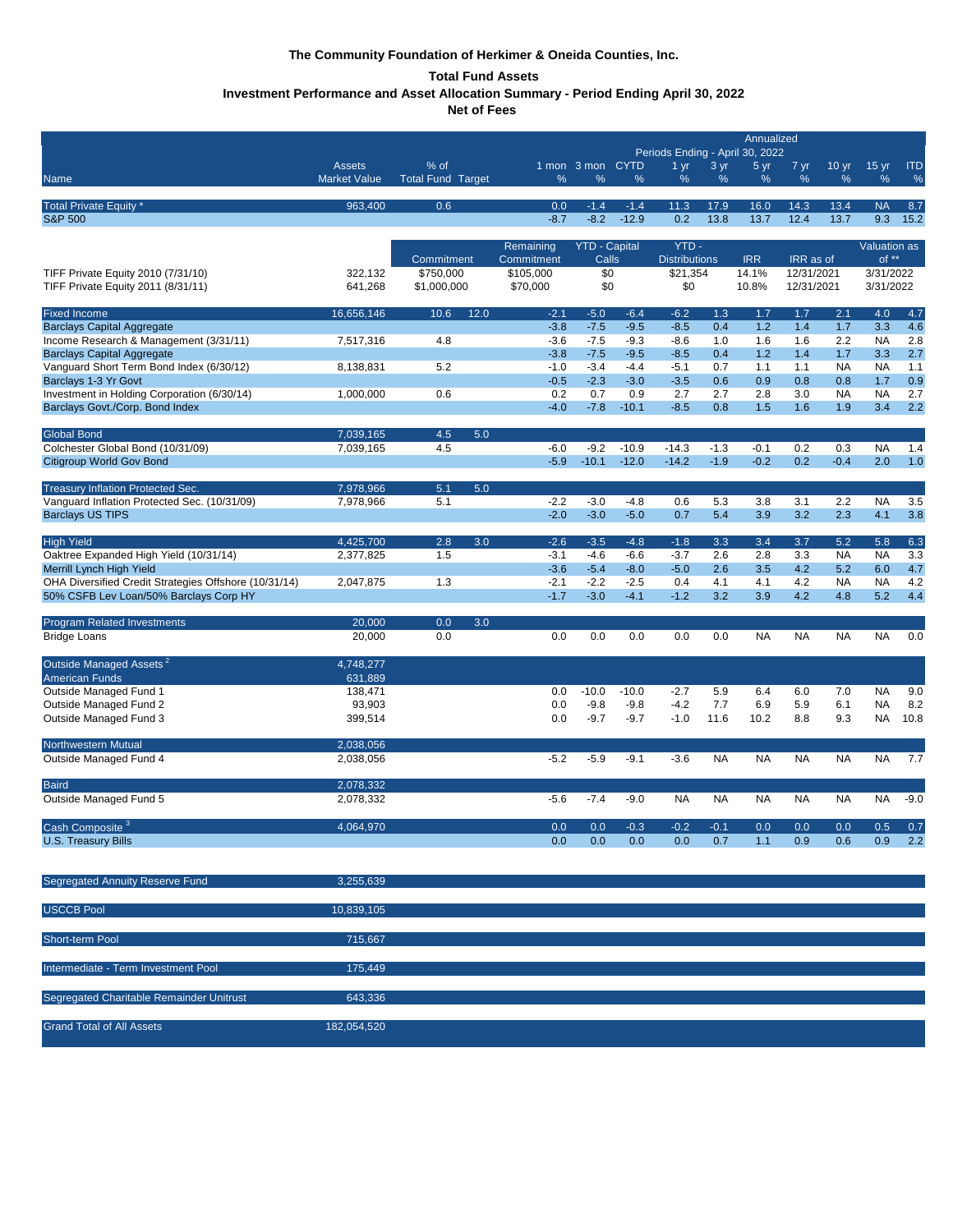# **The Community Foundation of Herkimer & Oneida Counties, Inc.**

# **Total Fund Assets**

**Investment Performance and Asset Allocation Summary - Period Ending April 30, 2022**

**Net of Fees** 

|                                                                                   |                     |                          |                         |                               |                  | Annualized                                                         |                  |                  |                          |                  |                                |              |
|-----------------------------------------------------------------------------------|---------------------|--------------------------|-------------------------|-------------------------------|------------------|--------------------------------------------------------------------|------------------|------------------|--------------------------|------------------|--------------------------------|--------------|
|                                                                                   | <b>Assets</b>       | % of                     |                         | 1 mon 3 mon CYTD              |                  | Periods Ending - April 30, 2022<br>3 yr<br>5 yr<br>1 <sub>yr</sub> |                  |                  | 7 yr<br>10 <sub>yr</sub> |                  | 15 <sub>yr</sub><br><b>ITD</b> |              |
| Name                                                                              | <b>Market Value</b> | <b>Total Fund Target</b> | %                       | %                             | %                | $\%$                                                               | %                | %                | %                        | %                | %                              | %            |
|                                                                                   | 963,400             | 0.6                      | 0.0                     | $-1.4$                        | $-1.4$           | 11.3                                                               | 17.9             | 16.0             | 14.3                     | 13.4             | <b>NA</b>                      | 8.7          |
| Total Private Equity *<br><b>S&amp;P 500</b>                                      |                     |                          | $-8.7$                  | $-8.2$                        | $-12.9$          | 0.2                                                                | 13.8             | 13.7             | 12.4                     | 13.7             | 9.3                            | 15.2         |
|                                                                                   |                     |                          |                         |                               |                  |                                                                    |                  |                  |                          |                  |                                |              |
|                                                                                   |                     | Commitment               | Remaining<br>Commitment | <b>YTD - Capital</b><br>Calls |                  | YTD-<br><b>Distributions</b>                                       |                  | <b>IRR</b>       | IRR as of                |                  | Valuation as<br>$of **$        |              |
| TIFF Private Equity 2010 (7/31/10)                                                | 322,132             | \$750,000                | \$105,000               | \$0                           |                  | \$21,354                                                           |                  | 14.1%            | 12/31/2021               |                  | 3/31/2022                      |              |
| TIFF Private Equity 2011 (8/31/11)                                                | 641,268             | \$1,000,000              | \$70,000                | \$0                           |                  | \$0                                                                |                  | 10.8%            | 12/31/2021               |                  | 3/31/2022                      |              |
| <b>Fixed Income</b>                                                               | 16,656,146          | 10.6<br>12.0             | $-2.1$                  | $-5.0$                        | $-6.4$           | $-6.2$                                                             | 1.3              | 1.7              | 1.7                      | 2.1              | 4.0                            | 4.7          |
| <b>Barclays Capital Aggregate</b>                                                 |                     |                          | $-3.8$                  | $-7.5$                        | $-9.5$           | $-8.5$                                                             | 0.4              | 1.2              | 1.4                      | 1.7              | 3.3                            | 4.6          |
| Income Research & Management (3/31/11)                                            | 7,517,316           | 4.8                      | $-3.6$                  | $-7.5$                        | $-9.3$           | $-8.6$                                                             | 1.0              | 1.6              | 1.6                      | 2.2              | <b>NA</b>                      | 2.8          |
| <b>Barclays Capital Aggregate</b><br>Vanguard Short Term Bond Index (6/30/12)     | 8,138,831           | 5.2                      | $-3.8$<br>$-1.0$        | $-7.5$<br>$-3.4$              | $-9.5$<br>$-4.4$ | $-8.5$<br>$-5.1$                                                   | 0.4<br>0.7       | 1.2<br>1.1       | 1.4<br>1.1               | 1.7<br><b>NA</b> | 3.3<br><b>NA</b>               | 2.7<br>$1.1$ |
| Barclays 1-3 Yr Govt                                                              |                     |                          | $-0.5$                  | $-2.3$                        | $-3.0$           | $-3.5$                                                             | 0.6              | 0.9              | 0.8                      | 0.8              | 1.7                            | 0.9          |
| Investment in Holding Corporation (6/30/14)                                       | 1,000,000           | 0.6                      | 0.2                     | 0.7                           | 0.9              | 2.7                                                                | 2.7              | 2.8              | 3.0                      | <b>NA</b>        | <b>NA</b>                      | 2.7          |
| Barclays Govt./Corp. Bond Index                                                   |                     |                          | $-4.0$                  | $-7.8$                        | $-10.1$          | $-8.5$                                                             | 0.8              | 1.5              | 1.6                      | 1.9              | 3.4                            | 2.2          |
| <b>Global Bond</b>                                                                | 7,039,165           | 4.5<br>5.0               |                         |                               |                  |                                                                    |                  |                  |                          |                  |                                |              |
| Colchester Global Bond (10/31/09)<br><b>Citigroup World Gov Bond</b>              | 7,039,165           | 4.5                      | $-6.0$<br>$-5.9$        | $-9.2$                        | $-10.9$          | $-14.3$<br>$-14.2$                                                 | $-1.3$<br>$-1.9$ | $-0.1$<br>$-0.2$ | 0.2                      | 0.3<br>$-0.4$    | <b>NA</b>                      | 1.4          |
|                                                                                   |                     |                          |                         | $-10.1$                       | $-12.0$          |                                                                    |                  |                  | 0.2                      |                  | 2.0                            | 1.0          |
| Treasury Inflation Protected Sec.                                                 | 7,978,966           | 5.1<br>5.0               |                         |                               |                  |                                                                    |                  |                  |                          |                  |                                |              |
| Vanquard Inflation Protected Sec. (10/31/09)                                      | 7,978,966           | 5.1                      | $-2.2$                  | $-3.0$                        | $-4.8$           | 0.6                                                                | 5.3              | 3.8              | 3.1                      | 2.2              | <b>NA</b>                      | 3.5          |
| <b>Barclays US TIPS</b>                                                           |                     |                          | $-2.0$                  | $-3.0$                        | $-5.0$           | 0.7                                                                | 5.4              | 3.9              | 3.2                      | 2.3              | 4.1                            | 3.8          |
| <b>High Yield</b>                                                                 | 4,425,700           | 3.0<br>2.8               | $-2.6$                  | $-3.5$                        | $-4.8$           | $-1.8$                                                             | 3.3              | 3.4              | 3.7                      | 5.2              | 5.8                            | 6.3          |
| Oaktree Expanded High Yield (10/31/14)                                            | 2,377,825           | 1.5                      | $-3.1$<br>$-3.6$        | $-4.6$<br>$-5.4$              | $-6.6$<br>$-8.0$ | $-3.7$<br>$-5.0$                                                   | 2.6<br>2.6       | 2.8<br>3.5       | 3.3<br>4.2               | <b>NA</b><br>5.2 | <b>NA</b><br>6.0               | 3.3<br>4.7   |
| Merrill Lynch High Yield<br>OHA Diversified Credit Strategies Offshore (10/31/14) | 2,047,875           | 1.3                      | $-2.1$                  | $-2.2$                        | $-2.5$           | 0.4                                                                | 4.1              | 4.1              | 4.2                      | <b>NA</b>        | <b>NA</b>                      | 4.2          |
| 50% CSFB Lev Loan/50% Barclays Corp HY                                            |                     |                          | $-1.7$                  | $-3.0$                        | $-4.1$           | $-1.2$                                                             | 3.2              | 3.9              | 4.2                      | 4.8              | 5.2                            | 4.4          |
| Program Related Investments                                                       | 20,000              | 0.0<br>3.0               |                         |                               |                  |                                                                    |                  |                  |                          |                  |                                |              |
| <b>Bridge Loans</b>                                                               | 20,000              | 0.0                      | 0.0                     | 0.0                           | 0.0              | 0.0                                                                | 0.0              | <b>NA</b>        | <b>NA</b>                | <b>NA</b>        | <b>NA</b>                      | 0.0          |
|                                                                                   |                     |                          |                         |                               |                  |                                                                    |                  |                  |                          |                  |                                |              |
| Outside Managed Assets <sup>2</sup>                                               | 4,748,277           |                          |                         |                               |                  |                                                                    |                  |                  |                          |                  |                                |              |
| <b>American Funds</b><br>Outside Managed Fund 1                                   | 631,889<br>138,471  |                          | 0.0                     | $-10.0$                       | $-10.0$          | $-2.7$                                                             | 5.9              | 6.4              | 6.0                      | 7.0              | <b>NA</b>                      | 9.0          |
| Outside Managed Fund 2                                                            | 93,903              |                          | 0.0                     | $-9.8$                        | $-9.8$           | $-4.2$                                                             | 7.7              | 6.9              | 5.9                      | 6.1              | <b>NA</b>                      | 8.2          |
| Outside Managed Fund 3                                                            | 399,514             |                          | 0.0                     | $-9.7$                        | $-9.7$           | $-1.0$                                                             | 11.6             | 10.2             | 8.8                      | 9.3              | <b>NA</b>                      | 10.8         |
| Northwestern Mutual                                                               | 2,038,056           |                          |                         |                               |                  |                                                                    |                  |                  |                          |                  |                                |              |
| Outside Managed Fund 4                                                            | 2,038,056           |                          | $-5.2$                  | $-5.9$                        | $-9.1$           | $-3.6$                                                             | <b>NA</b>        | <b>NA</b>        | <b>NA</b>                | <b>NA</b>        | <b>NA</b>                      | 7.7          |
| <b>Baird</b>                                                                      | 2,078,332           |                          |                         |                               |                  |                                                                    |                  |                  |                          |                  |                                |              |
| Outside Managed Fund 5                                                            | 2,078,332           |                          | $-5.6$                  | $-7.4$                        | $-9.0$           | <b>NA</b>                                                          | NA               | <b>NA</b>        | <b>NA</b>                | <b>NA</b>        | <b>NA</b>                      | $-9.0$       |
|                                                                                   |                     |                          |                         |                               |                  |                                                                    |                  |                  |                          |                  |                                |              |
| Cash Composite <sup>3</sup>                                                       | 4,064,970           |                          | 0.0                     | 0.0                           | 0.3              | 0.2                                                                | 0.1              | 0.0              | 0.0                      | 0.0              | 0.5                            | 0.7          |
| <b>U.S. Treasury Bills</b>                                                        |                     |                          | 0.0                     | 0.0                           | 0.0              | 0.0                                                                | 0.7              | 1.1              | 0.9                      | 0.6              | 0.9                            | 2.2          |
|                                                                                   |                     |                          |                         |                               |                  |                                                                    |                  |                  |                          |                  |                                |              |
| Segregated Annuity Reserve Fund                                                   | 3,255,639           |                          |                         |                               |                  |                                                                    |                  |                  |                          |                  |                                |              |
| <b>USCCB Pool</b>                                                                 | 10,839,105          |                          |                         |                               |                  |                                                                    |                  |                  |                          |                  |                                |              |
|                                                                                   |                     |                          |                         |                               |                  |                                                                    |                  |                  |                          |                  |                                |              |
| Short-term Pool                                                                   | 715,667             |                          |                         |                               |                  |                                                                    |                  |                  |                          |                  |                                |              |
|                                                                                   | 175,449             |                          |                         |                               |                  |                                                                    |                  |                  |                          |                  |                                |              |
| Intermediate - Term Investment Pool                                               |                     |                          |                         |                               |                  |                                                                    |                  |                  |                          |                  |                                |              |
| Segregated Charitable Remainder Unitrust                                          | 643,336             |                          |                         |                               |                  |                                                                    |                  |                  |                          |                  |                                |              |
|                                                                                   |                     |                          |                         |                               |                  |                                                                    |                  |                  |                          |                  |                                |              |
| <b>Grand Total of All Assets</b>                                                  | 182,054,520         |                          |                         |                               |                  |                                                                    |                  |                  |                          |                  |                                |              |